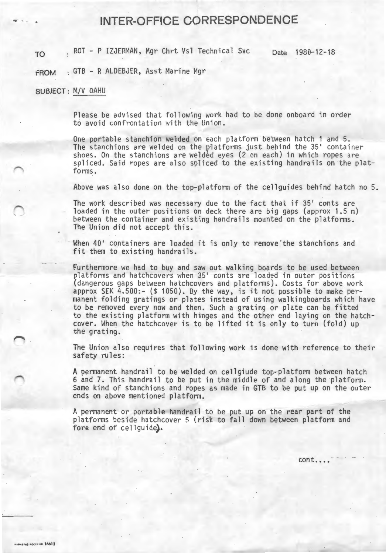## ... ... - . **INTER-OFFICE CORRESPONDENCE**

TO ROT - P IZJERMAN, Mgr Chrt Vsl Technical Svc Date 1980-12-18

FROM : GTB - R ALDEBJER, Asst Marine Mgr

## SUBJECT : M/V OAHU

Please be advised that following work had to be done onboard in order to avoid confrontation with the Union.

One portable stanchion welded on each platform between hatch 1 and 5. The stanchions are welded on the platforms just behind the 35' container shoes. On the stanchions are welded eyes (2 on each) in which ropes are spliced. Said ropes are also spliced to the existing handrails on the platforms.

Above was also done on the top-platform of the cellguides behind hatch no 5.

The work described was necessary due to the fact that if 35' conts are loaded in the outer positions on deck there are big gaps (approx 1.5 m) between the container and existing handrails mounted on the platforms . The Union did not accept this.

When 40' containers are loaded it is only to remove 'the stanchions and fit them to existing handrails.

Furthermore we had to buy and saw out walking boards to be used between platforms and hatchcovers when 35' conts are loaded in outer positions (dangerous gaps between hatchcovers and platforms). Costs for above work approx SEK 4.500:- (\$ 1050). By the way, is it not possible to make permanent folding gratings or plates instead of using walkingboards which have to be removed every now and then. Such a grating or plate can be fitted to the existing platform with hinges and the other end laying on the hatchcover. When the hatchcover is to be lifted it is only to turn (fold) up the grating.

The Union also requires that following work is done with reference to their safety rules:

A permanent handrail to be welded on cellgiude top-platform between hatch 6 and 7. This handrail to be put in the middle of and along the platform. Same kind of stanchions and ropes as made in GTB to be put up on the outer ends on above mentioned platform.

A permanent or portable handrail to be put up on the rear part of the platforms beside hatchcover 5 (risk to fall down between platform and fore end of cellguide).

cont....<sup>-</sup>